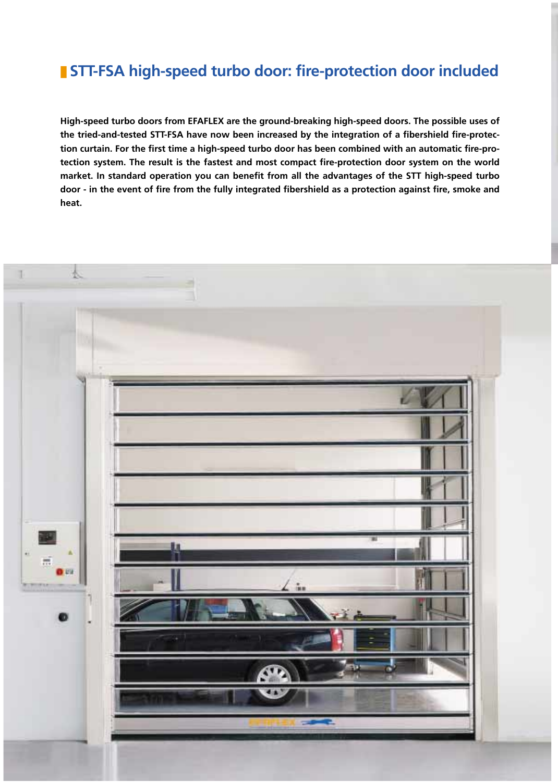### ■ **STT-FSA high-speed turbo door: fire-protection door included**

**High-speed turbo doors from EFAFLEX are the ground-breaking high-speed doors. The possible uses of the tried-and-tested STT-FSA have now been increased by the integration of a fibershield fire-protection curtain. For the first time a high-speed turbo door has been combined with an automatic fire-protection system. The result is the fastest and most compact fire-protection door system on the world market. In standard operation you can benefit from all the advantages of the STT high-speed turbo door - in the event of fire from the fully integrated fibershield as a protection against fire, smoke and heat.**

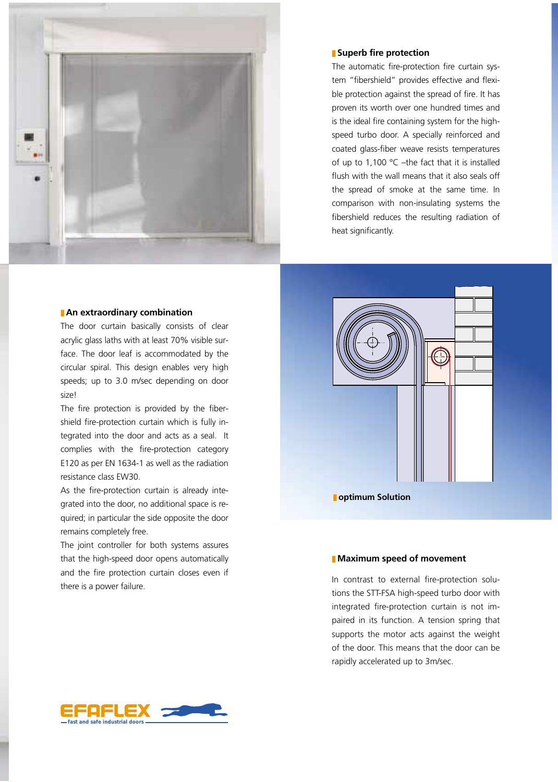

#### ■ **An extraordinary combination**

The door curtain basically consists of clear acrylic glass laths with at least 70% visible surface. The door leaf is accommodated by the circular spiral. This design enables very high speeds; up to 3.0 m/sec depending on door size!

The fire protection is provided by the fibershield fire-protection curtain which is fully integrated into the door and acts as a seal. It complies with the fire-protection category E120 as per EN 1634-1 as well as the radiation resistance class EW30.

As the fire-protection curtain is already integrated into the door, no additional space is required; in particular the side opposite the door remains completely free.

The joint controller for both systems assures that the high-speed door opens automatically and the fire protection curtain closes even if there is a power failure.

#### ■ **Superb fire protection**

The automatic fire-protection fire curtain system "fibershield" provides effective and flexible protection against the spread of fire. It has proven its worth over one hundred times and is the ideal fire containing system for the highspeed turbo door. A specially reinforced and coated glass-fiber weave resists temperatures of up to 1,100 °C –the fact that it is installed flush with the wall means that it also seals off the spread of smoke at the same time. In comparison with non-insulating systems the fibershield reduces the resulting radiation of heat significantly.



■ **optimum Solution**

#### ■ **Maximum speed of movement**

In contrast to external fire-protection solutions the STT-FSA high-speed turbo door with integrated fire-protection curtain is not impaired in its function. A tension spring that supports the motor acts against the weight of the door. This means that the door can be rapidly accelerated up to 3m/sec.

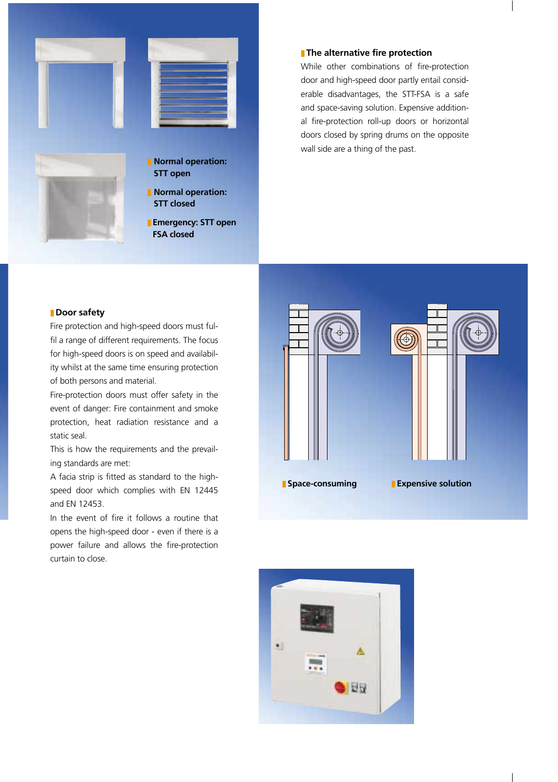

#### ■ **The alternative fire protection**

While other combinations of fire-protection door and high-speed door partly entail considerable disadvantages, the STT-FSA is a safe and space-saving solution. Expensive additional fire-protection roll-up doors or horizontal doors closed by spring drums on the opposite wall side are a thing of the past.

#### ■ **Door safety**

Fire protection and high-speed doors must fulfil a range of different requirements. The focus for high-speed doors is on speed and availability whilst at the same time ensuring protection of both persons and material.

Fire-protection doors must offer safety in the event of danger: Fire containment and smoke protection, heat radiation resistance and a static seal.

This is how the requirements and the prevailing standards are met:

A facia strip is fitted as standard to the highspeed door which complies with EN 12445 and EN 12453.

In the event of fire it follows a routine that opens the high-speed door - even if there is a power failure and allows the fire-protection curtain to close.



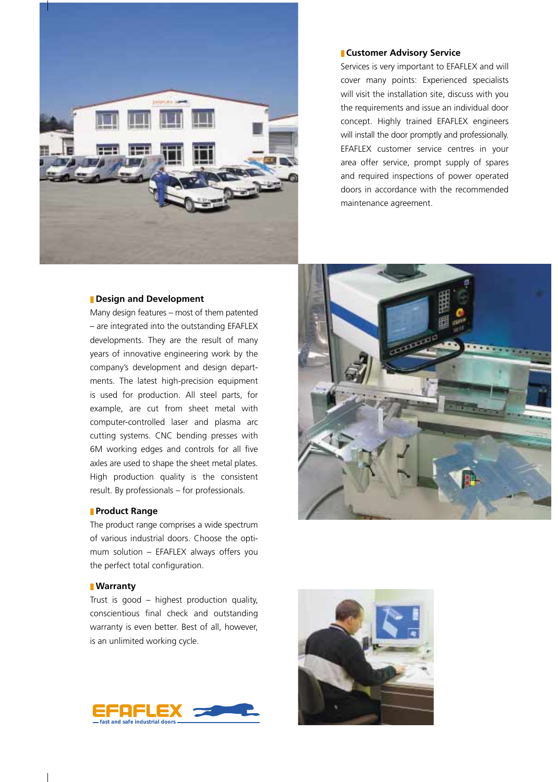

#### ■ **Customer Advisory Service**

Services is very important to EFAFLEX and will cover many points: Experienced specialists will visit the installation site, discuss with you the requirements and issue an individual door concept. Highly trained EFAFLEX engineers will install the door promptly and professionally. EFAFLEX customer service centres in your area offer service, prompt supply of spares and required inspections of power operated doors in accordance with the recommended maintenance agreement.

#### ■ **Design and Development**

Many design features – most of them patented – are integrated into the outstanding EFAFLEX developments. They are the result of many years of innovative engineering work by the company's development and design departments. The latest high-precision equipment is used for production. All steel parts, for example, are cut from sheet metal with computer-controlled laser and plasma arc cutting systems. CNC bending presses with 6M working edges and controls for all five axles are used to shape the sheet metal plates. High production quality is the consistent result. By professionals – for professionals.

#### ■ **Product Range**

The product range comprises a wide spectrum of various industrial doors. Choose the optimum solution – EFAFLEX always offers you the perfect total configuration.

#### ■ **Warranty**

Trust is good – highest production quality, conscientious final check and outstanding warranty is even better. Best of all, however, is an unlimited working cycle.





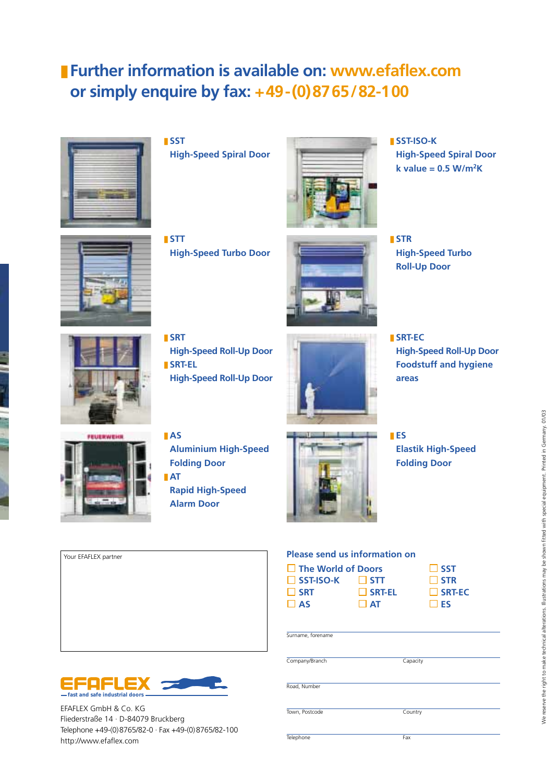## ■ **Further information is available on: www.efaflex.com or simply enquire by fax: +49-(0)8765/82-100**



■ **SST High-Speed Spiral Door**



■ **SST-ISO-K High-Speed Spiral Door k value = 0.5 W/m2K**



■ **STT High-Speed Turbo Door**



■ **STR High-Speed Turbo Roll-Up Door**



■ **SRT High-Speed Roll-Up Door**  ■ **SRT-EL High-Speed Roll-Up Door**



■ **SRT-EC High-Speed Roll-Up Door Foodstuff and hygiene areas** 



■ **AS** 

- **Aluminium High-Speed Folding Door** ■ **AT**
- **Rapid High-Speed Alarm Door**



■ **ES Elastik High-Speed Folding Door**

#### **Your EFAFLEX partner Please send us information on**

| $\Box$ The World of Doors |               | $\Box$ SST    |
|---------------------------|---------------|---------------|
| $\Box$ SST-ISO-K          | $\Box$ STT    | $\Box$ STR    |
| <b>SRT</b>                | <b>SRT-EL</b> | $\Box$ SRT-EC |
| $\overline{\mathsf{A}}$   | $\Box$ AT     | $\Box$ ES     |

| SST             |
|-----------------|
| <b>STR</b>      |
| $\sqcup$ SRT-F( |
| <b>IFS</b>      |

| Capacity |  |
|----------|--|

Road, Number

Surname, forename

Company/Branch

Town, Postcode Country

Telephone Fax



EFAFLEX GmbH & Co. KG Fliederstraße 14 · D-84079 Bruckberg Telephone +49-(0)8765/82-0 · Fax +49-(0)8765/82-100 http://www.efaflex.com